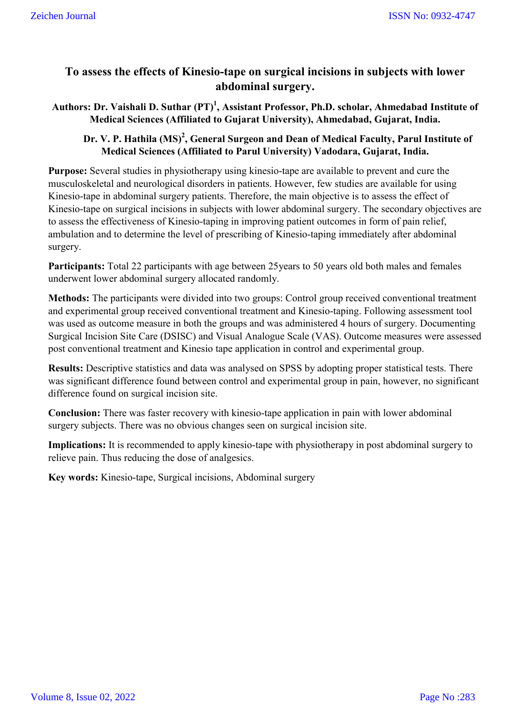# **To assess the effects of Kinesio-tape on surgical incisions in subjects with lower abdominal surgery.**

# Authors: Dr. Vaishali D. Suthar (PT)<sup>1</sup>, Assistant Professor, Ph.D. scholar, Ahmedabad Institute of **Medical Sciences (Affiliated to Gujarat University), Ahmedabad, Gujarat, India.**

# Dr. V. P. Hathila (MS)<sup>2</sup>, General Surgeon and Dean of Medical Faculty, Parul Institute of **Medical Sciences (Affiliated to Parul University) Vadodara, Gujarat, India.**

**Purpose:** Several studies in physiotherapy using kinesio-tape are available to prevent and cure the musculoskeletal and neurological disorders in patients. However, few studies are available for using Kinesio-tape in abdominal surgery patients. Therefore, the main objective is to assess the effect of Kinesio-tape on surgical incisions in subjects with lower abdominal surgery. The secondary objectives are to assess the effectiveness of Kinesio-taping in improving patient outcomes in form of pain relief, ambulation and to determine the level of prescribing of Kinesio-taping immediately after abdominal surgery.

**Participants:** Total 22 participants with age between 25years to 50 years old both males and females underwent lower abdominal surgery allocated randomly.

**Methods:** The participants were divided into two groups: Control group received conventional treatment and experimental group received conventional treatment and Kinesio-taping. Following assessment tool was used as outcome measure in both the groups and was administered 4 hours of surgery. Documenting Surgical Incision Site Care (DSISC) and Visual Analogue Scale (VAS). Outcome measures were assessed post conventional treatment and Kinesio tape application in control and experimental group.

**Results:** Descriptive statistics and data was analysed on SPSS by adopting proper statistical tests. There was significant difference found between control and experimental group in pain, however, no significant difference found on surgical incision site.

**Conclusion:** There was faster recovery with kinesio-tape application in pain with lower abdominal surgery subjects. There was no obvious changes seen on surgical incision site.

**Implications:** It is recommended to apply kinesio-tape with physiotherapy in post abdominal surgery to relieve pain. Thus reducing the dose of analgesics.

**Key words:** Kinesio-tape, Surgical incisions, Abdominal surgery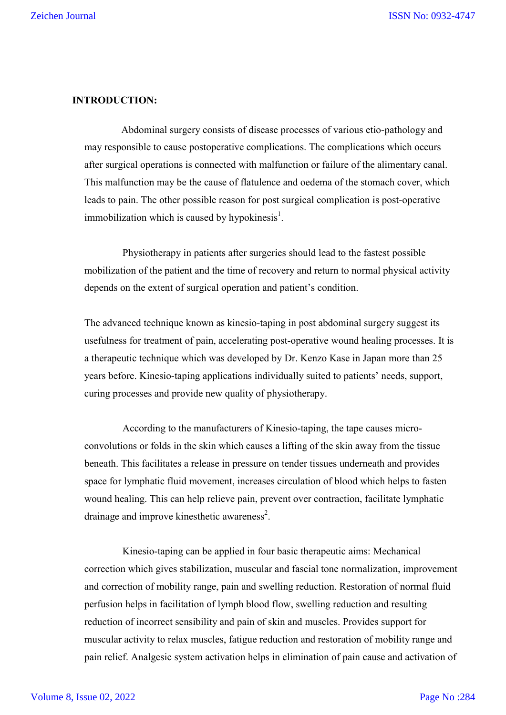# **INTRODUCTION:**

 Abdominal surgery consists of disease processes of various etio-pathology and may responsible to cause postoperative complications. The complications which occurs after surgical operations is connected with malfunction or failure of the alimentary canal. This malfunction may be the cause of flatulence and oedema of the stomach cover, which leads to pain. The other possible reason for post surgical complication is post-operative immobilization which is caused by hypokinesis<sup>1</sup>.

 Physiotherapy in patients after surgeries should lead to the fastest possible mobilization of the patient and the time of recovery and return to normal physical activity depends on the extent of surgical operation and patient's condition.

The advanced technique known as kinesio-taping in post abdominal surgery suggest its usefulness for treatment of pain, accelerating post-operative wound healing processes. It is a therapeutic technique which was developed by Dr. Kenzo Kase in Japan more than 25 years before. Kinesio-taping applications individually suited to patients' needs, support, curing processes and provide new quality of physiotherapy.

 According to the manufacturers of Kinesio-taping, the tape causes microconvolutions or folds in the skin which causes a lifting of the skin away from the tissue beneath. This facilitates a release in pressure on tender tissues underneath and provides space for lymphatic fluid movement, increases circulation of blood which helps to fasten wound healing. This can help relieve pain, prevent over contraction, facilitate lymphatic drainage and improve kinesthetic awareness<sup>2</sup>.

 Kinesio-taping can be applied in four basic therapeutic aims: Mechanical correction which gives stabilization, muscular and fascial tone normalization, improvement and correction of mobility range, pain and swelling reduction. Restoration of normal fluid perfusion helps in facilitation of lymph blood flow, swelling reduction and resulting reduction of incorrect sensibility and pain of skin and muscles. Provides support for muscular activity to relax muscles, fatigue reduction and restoration of mobility range and pain relief. Analgesic system activation helps in elimination of pain cause and activation of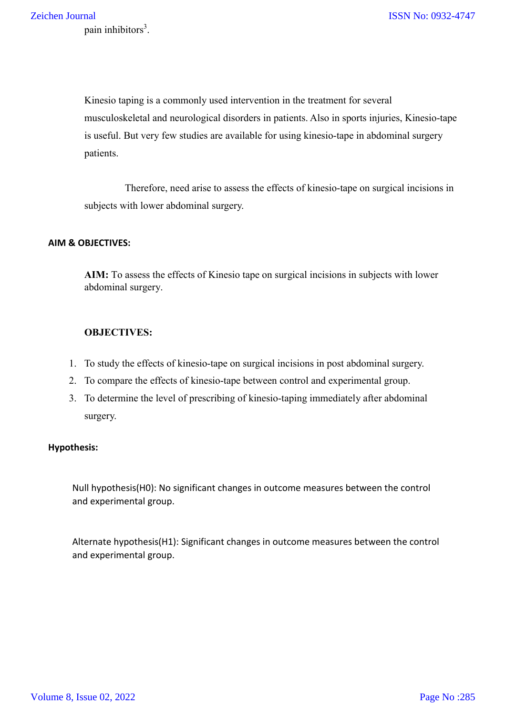Kinesio taping is a commonly used intervention in the treatment for several musculoskeletal and neurological disorders in patients. Also in sports injuries, Kinesio-tape is useful. But very few studies are available for using kinesio-tape in abdominal surgery patients.

 Therefore, need arise to assess the effects of kinesio-tape on surgical incisions in subjects with lower abdominal surgery.

#### **AIM & OBJECTIVES:**

**AIM:** To assess the effects of Kinesio tape on surgical incisions in subjects with lower abdominal surgery.

# **OBJECTIVES:**

- 1. To study the effects of kinesio-tape on surgical incisions in post abdominal surgery.
- 2. To compare the effects of kinesio-tape between control and experimental group.
- 3. To determine the level of prescribing of kinesio-taping immediately after abdominal surgery.

# **Hypothesis:**

Null hypothesis(H0): No significant changes in outcome measures between the control and experimental group.

Alternate hypothesis(H1): Significant changes in outcome measures between the control and experimental group.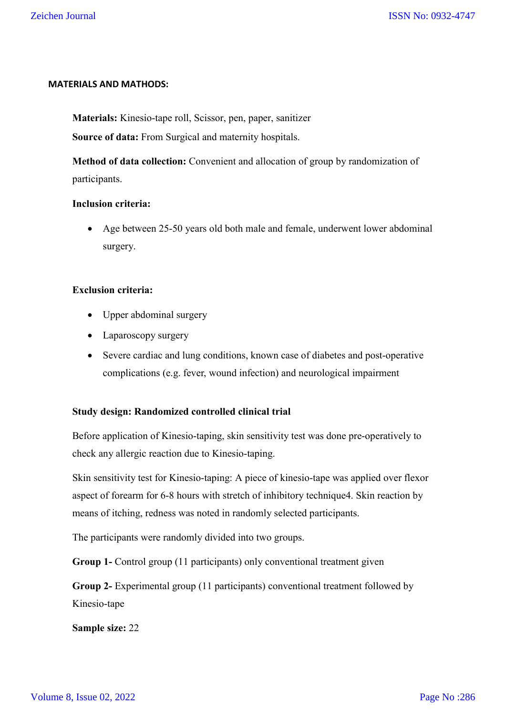#### **MATERIALS AND MATHODS:**

**Materials:** Kinesio-tape roll, Scissor, pen, paper, sanitizer

**Source of data:** From Surgical and maternity hospitals.

**Method of data collection:** Convenient and allocation of group by randomization of participants.

#### **Inclusion criteria:**

 Age between 25-50 years old both male and female, underwent lower abdominal surgery.

# **Exclusion criteria:**

- Upper abdominal surgery
- Laparoscopy surgery
- Severe cardiac and lung conditions, known case of diabetes and post-operative complications (e.g. fever, wound infection) and neurological impairment

# **Study design: Randomized controlled clinical trial**

Before application of Kinesio-taping, skin sensitivity test was done pre-operatively to check any allergic reaction due to Kinesio-taping.

Skin sensitivity test for Kinesio-taping: A piece of kinesio-tape was applied over flexor aspect of forearm for 6-8 hours with stretch of inhibitory technique4. Skin reaction by means of itching, redness was noted in randomly selected participants.

The participants were randomly divided into two groups.

**Group 1-** Control group (11 participants) only conventional treatment given

**Group 2-** Experimental group (11 participants) conventional treatment followed by Kinesio-tape

**Sample size:** 22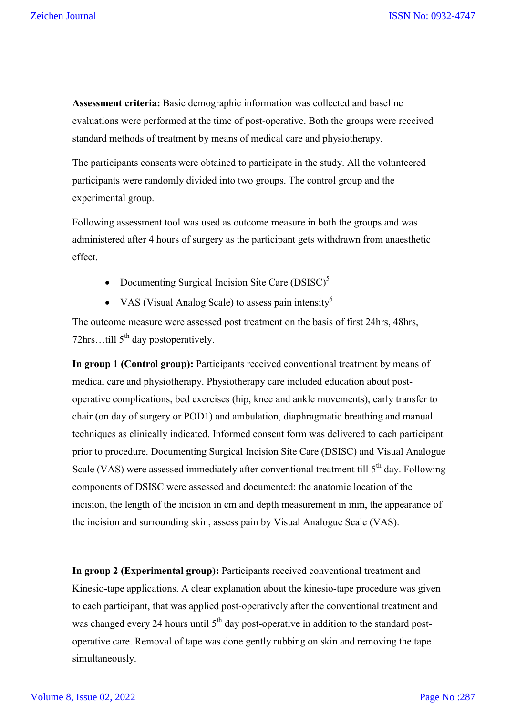**Assessment criteria:** Basic demographic information was collected and baseline evaluations were performed at the time of post-operative. Both the groups were received standard methods of treatment by means of medical care and physiotherapy.

The participants consents were obtained to participate in the study. All the volunteered participants were randomly divided into two groups. The control group and the experimental group.

Following assessment tool was used as outcome measure in both the groups and was administered after 4 hours of surgery as the participant gets withdrawn from anaesthetic effect.

- Documenting Surgical Incision Site Care  $(DSISC)^5$
- VAS (Visual Analog Scale) to assess pain intensity<sup>6</sup>

The outcome measure were assessed post treatment on the basis of first 24hrs, 48hrs, 72hrs...till  $5<sup>th</sup>$  day postoperatively.

**In group 1 (Control group):** Participants received conventional treatment by means of medical care and physiotherapy. Physiotherapy care included education about postoperative complications, bed exercises (hip, knee and ankle movements), early transfer to chair (on day of surgery or POD1) and ambulation, diaphragmatic breathing and manual techniques as clinically indicated. Informed consent form was delivered to each participant prior to procedure. Documenting Surgical Incision Site Care (DSISC) and Visual Analogue Scale (VAS) were assessed immediately after conventional treatment till  $5<sup>th</sup>$  day. Following components of DSISC were assessed and documented: the anatomic location of the incision, the length of the incision in cm and depth measurement in mm, the appearance of the incision and surrounding skin, assess pain by Visual Analogue Scale (VAS).

**In group 2 (Experimental group):** Participants received conventional treatment and Kinesio-tape applications. A clear explanation about the kinesio-tape procedure was given to each participant, that was applied post-operatively after the conventional treatment and was changed every 24 hours until  $5<sup>th</sup>$  day post-operative in addition to the standard postoperative care. Removal of tape was done gently rubbing on skin and removing the tape simultaneously.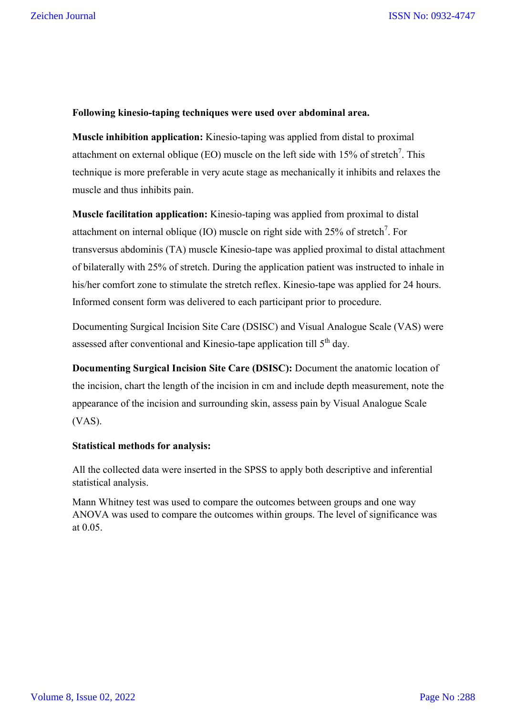#### **Following kinesio-taping techniques were used over abdominal area.**

**Muscle inhibition application:** Kinesio-taping was applied from distal to proximal attachment on external oblique (EO) muscle on the left side with 15% of stretch<sup>7</sup>. This technique is more preferable in very acute stage as mechanically it inhibits and relaxes the muscle and thus inhibits pain.

**Muscle facilitation application:** Kinesio-taping was applied from proximal to distal attachment on internal oblique (IO) muscle on right side with 25% of stretch<sup>7</sup>. For transversus abdominis (TA) muscle Kinesio-tape was applied proximal to distal attachment of bilaterally with 25% of stretch. During the application patient was instructed to inhale in his/her comfort zone to stimulate the stretch reflex. Kinesio-tape was applied for 24 hours. Informed consent form was delivered to each participant prior to procedure.

Documenting Surgical Incision Site Care (DSISC) and Visual Analogue Scale (VAS) were assessed after conventional and Kinesio-tape application till 5<sup>th</sup> day.

**Documenting Surgical Incision Site Care (DSISC):** Document the anatomic location of the incision, chart the length of the incision in cm and include depth measurement, note the appearance of the incision and surrounding skin, assess pain by Visual Analogue Scale (VAS).

# **Statistical methods for analysis:**

All the collected data were inserted in the SPSS to apply both descriptive and inferential statistical analysis.

Mann Whitney test was used to compare the outcomes between groups and one way ANOVA was used to compare the outcomes within groups. The level of significance was at 0.05.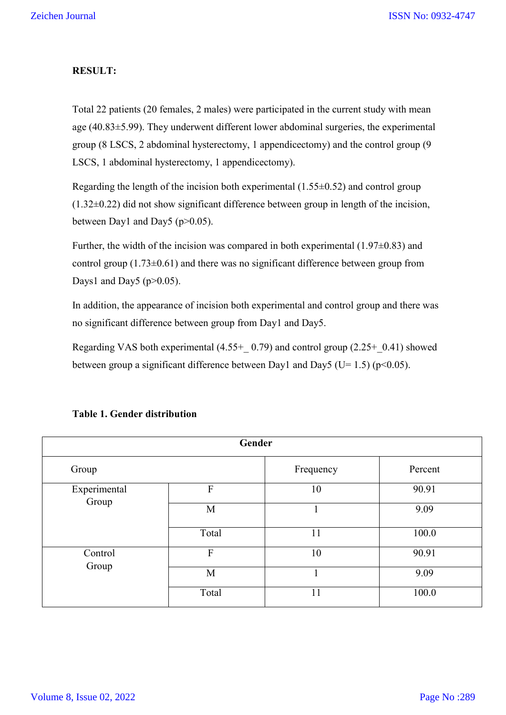#### **RESULT:**

Total 22 patients (20 females, 2 males) were participated in the current study with mean age (40.83±5.99). They underwent different lower abdominal surgeries, the experimental group (8 LSCS, 2 abdominal hysterectomy, 1 appendicectomy) and the control group (9 LSCS, 1 abdominal hysterectomy, 1 appendicectomy).

Regarding the length of the incision both experimental (1.55±0.52) and control group  $(1.32\pm0.22)$  did not show significant difference between group in length of the incision, between Day1 and Day5 (p>0.05).

Further, the width of the incision was compared in both experimental  $(1.97\pm0.83)$  and control group  $(1.73\pm0.61)$  and there was no significant difference between group from Days1 and Day5 ( $p > 0.05$ ).

In addition, the appearance of incision both experimental and control group and there was no significant difference between group from Day1 and Day5.

Regarding VAS both experimental (4.55+  $(0.79)$  and control group (2.25+  $(0.41)$  showed between group a significant difference between Day1 and Day5 (U= 1.5) ( $p$ <0.05).

| Gender                |       |           |         |  |  |  |  |  |
|-----------------------|-------|-----------|---------|--|--|--|--|--|
| Group                 |       | Frequency | Percent |  |  |  |  |  |
| Experimental<br>Group | F     | 10        | 90.91   |  |  |  |  |  |
|                       | M     |           | 9.09    |  |  |  |  |  |
|                       | Total | 11        | 100.0   |  |  |  |  |  |
| Control<br>Group      | F     | 10        | 90.91   |  |  |  |  |  |
|                       | M     |           | 9.09    |  |  |  |  |  |
|                       | Total | 11        | 100.0   |  |  |  |  |  |

# **Table 1. Gender distribution**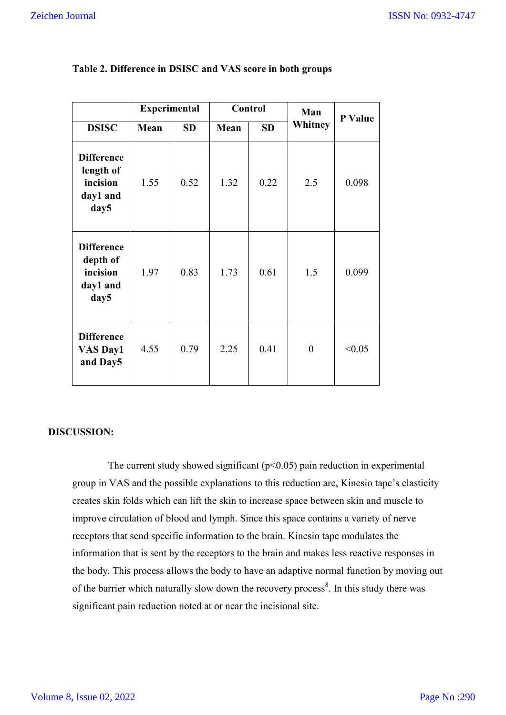|                                                                | <b>Experimental</b> |           | Control |           | Man            | P Value |
|----------------------------------------------------------------|---------------------|-----------|---------|-----------|----------------|---------|
| <b>DSISC</b>                                                   | Mean                | <b>SD</b> | Mean    | <b>SD</b> | Whitney        |         |
| <b>Difference</b><br>length of<br>incision<br>day1 and<br>day5 | 1.55                | 0.52      | 1.32    | 0.22      | 2.5            | 0.098   |
| <b>Difference</b><br>depth of<br>incision<br>day1 and<br>day5  | 1.97                | 0.83      | 1.73    | 0.61      | 1.5            | 0.099   |
| <b>Difference</b><br><b>VAS Day1</b><br>and Day5               | 4.55                | 0.79      | 2.25    | 0.41      | $\overline{0}$ | < 0.05  |

#### **Table 2. Difference in DSISC and VAS score in both groups**

# **DISCUSSION:**

The current study showed significant  $(p<0.05)$  pain reduction in experimental group in VAS and the possible explanations to this reduction are, Kinesio tape's elasticity creates skin folds which can lift the skin to increase space between skin and muscle to improve circulation of blood and lymph. Since this space contains a variety of nerve receptors that send specific information to the brain. Kinesio tape modulates the information that is sent by the receptors to the brain and makes less reactive responses in the body. This process allows the body to have an adaptive normal function by moving out of the barrier which naturally slow down the recovery process<sup>8</sup>. In this study there was significant pain reduction noted at or near the incisional site.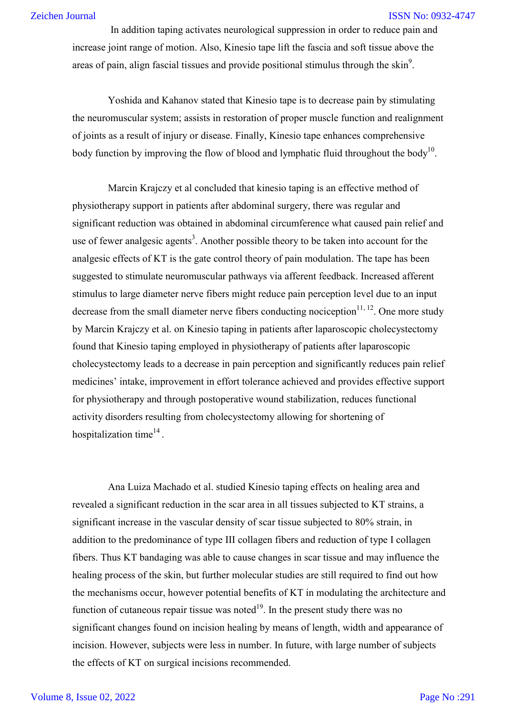#### ISSN No: 0932-4747

 In addition taping activates neurological suppression in order to reduce pain and increase joint range of motion. Also, Kinesio tape lift the fascia and soft tissue above the areas of pain, align fascial tissues and provide positional stimulus through the skin<sup>9</sup>.

 Yoshida and Kahanov stated that Kinesio tape is to decrease pain by stimulating the neuromuscular system; assists in restoration of proper muscle function and realignment of joints as a result of injury or disease. Finally, Kinesio tape enhances comprehensive body function by improving the flow of blood and lymphatic fluid throughout the body<sup>10</sup>.

 Marcin Krajczy et al concluded that kinesio taping is an effective method of physiotherapy support in patients after abdominal surgery, there was regular and significant reduction was obtained in abdominal circumference what caused pain relief and use of fewer analgesic agents<sup>3</sup>. Another possible theory to be taken into account for the analgesic effects of KT is the gate control theory of pain modulation. The tape has been suggested to stimulate neuromuscular pathways via afferent feedback. Increased afferent stimulus to large diameter nerve fibers might reduce pain perception level due to an input decrease from the small diameter nerve fibers conducting nociception $11, 12$ . One more study by Marcin Krajczy et al. on Kinesio taping in patients after laparoscopic cholecystectomy found that Kinesio taping employed in physiotherapy of patients after laparoscopic cholecystectomy leads to a decrease in pain perception and significantly reduces pain relief medicines' intake, improvement in effort tolerance achieved and provides effective support for physiotherapy and through postoperative wound stabilization, reduces functional activity disorders resulting from cholecystectomy allowing for shortening of hospitalization time $^{14}$ .

 Ana Luiza Machado et al. studied Kinesio taping effects on healing area and revealed a significant reduction in the scar area in all tissues subjected to KT strains, a significant increase in the vascular density of scar tissue subjected to 80% strain, in addition to the predominance of type III collagen fibers and reduction of type I collagen fibers. Thus KT bandaging was able to cause changes in scar tissue and may influence the healing process of the skin, but further molecular studies are still required to find out how the mechanisms occur, however potential benefits of KT in modulating the architecture and function of cutaneous repair tissue was noted<sup>19</sup>. In the present study there was no significant changes found on incision healing by means of length, width and appearance of incision. However, subjects were less in number. In future, with large number of subjects the effects of KT on surgical incisions recommended.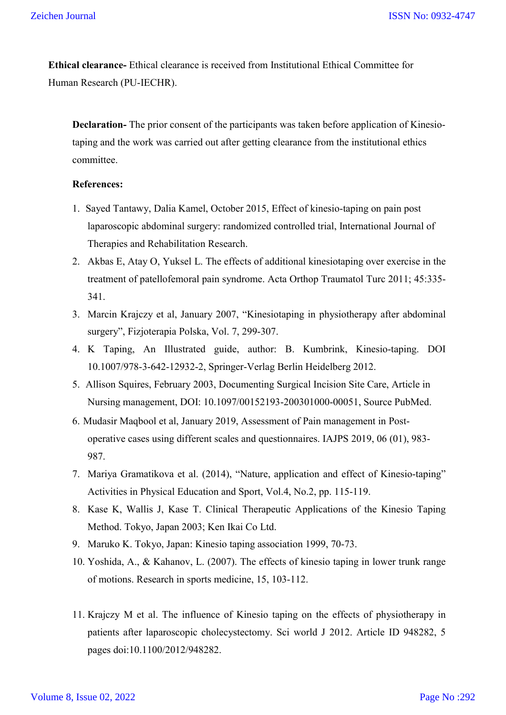**Ethical clearance-** Ethical clearance is received from Institutional Ethical Committee for Human Research (PU-IECHR).

**Declaration-** The prior consent of the participants was taken before application of Kinesiotaping and the work was carried out after getting clearance from the institutional ethics committee.

#### **References:**

- 1. Sayed Tantawy, Dalia Kamel, October 2015, Effect of kinesio-taping on pain post laparoscopic abdominal surgery: randomized controlled trial, International Journal of Therapies and Rehabilitation Research.
- 2. Akbas E, Atay O, Yuksel L. The effects of additional kinesiotaping over exercise in the treatment of patellofemoral pain syndrome. Acta Orthop Traumatol Turc 2011; 45:335- 341.
- 3. Marcin Krajczy et al, January 2007, "Kinesiotaping in physiotherapy after abdominal surgery", Fizjoterapia Polska, Vol. 7, 299-307.
- 4. K Taping, An Illustrated guide, author: B. Kumbrink, Kinesio-taping. DOI 10.1007/978-3-642-12932-2, Springer-Verlag Berlin Heidelberg 2012.
- 5. Allison Squires, February 2003, Documenting Surgical Incision Site Care, Article in Nursing management, DOI: 10.1097/00152193-200301000-00051, Source PubMed.
- 6. Mudasir Maqbool et al, January 2019, Assessment of Pain management in Postoperative cases using different scales and questionnaires. IAJPS 2019, 06 (01), 983- 987.
- 7. Mariya Gramatikova et al. (2014), "Nature, application and effect of Kinesio-taping" Activities in Physical Education and Sport, Vol.4, No.2, pp. 115-119.
- 8. Kase K, Wallis J, Kase T. Clinical Therapeutic Applications of the Kinesio Taping Method. Tokyo, Japan 2003; Ken Ikai Co Ltd.
- 9. Maruko K. Tokyo, Japan: Kinesio taping association 1999, 70-73.
- 10. Yoshida, A., & Kahanov, L. (2007). The effects of kinesio taping in lower trunk range of motions. Research in sports medicine, 15, 103-112.
- 11. Krajczy M et al. The influence of Kinesio taping on the effects of physiotherapy in patients after laparoscopic cholecystectomy. Sci world J 2012. Article ID 948282, 5 pages doi:10.1100/2012/948282.